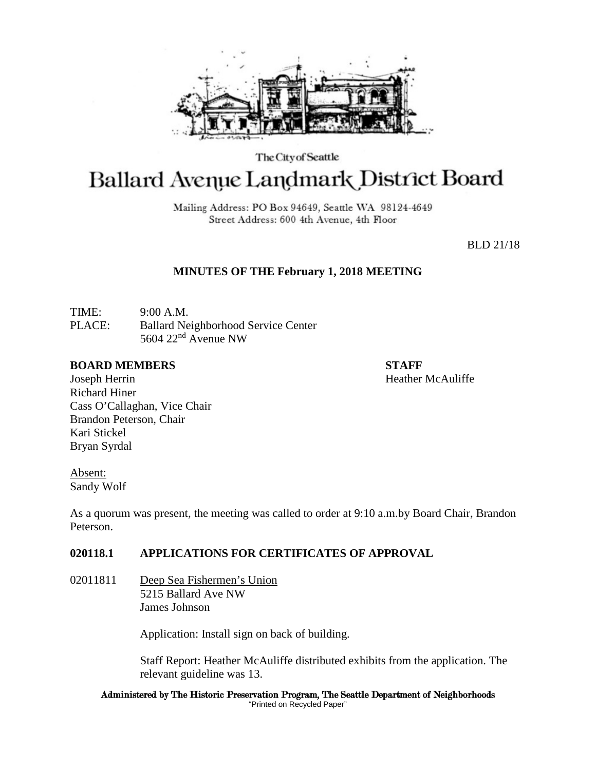

The City of Seattle

# **Ballard Avenue Landmark District Board**

Mailing Address: PO Box 94649, Seattle WA 98124-4649 Street Address: 600 4th Avenue, 4th Floor

BLD 21/18

## **MINUTES OF THE February 1, 2018 MEETING**

TIME: 9:00 A.M. PLACE: Ballard Neighborhood Service Center 5604 22nd Avenue NW

### **BOARD MEMBERS STAFF**

Joseph Herrin **Heather McAuliffe Heather McAuliffe** Richard Hiner Cass O'Callaghan, Vice Chair Brandon Peterson, Chair Kari Stickel Bryan Syrdal

Absent: Sandy Wolf

As a quorum was present, the meeting was called to order at 9:10 a.m.by Board Chair, Brandon Peterson.

## **020118.1 APPLICATIONS FOR CERTIFICATES OF APPROVAL**

02011811 Deep Sea Fishermen's Union 5215 Ballard Ave NW James Johnson

Application: Install sign on back of building.

Staff Report: Heather McAuliffe distributed exhibits from the application. The relevant guideline was 13.

Administered by The Historic Preservation Program, The Seattle Department of Neighborhoods "Printed on Recycled Paper"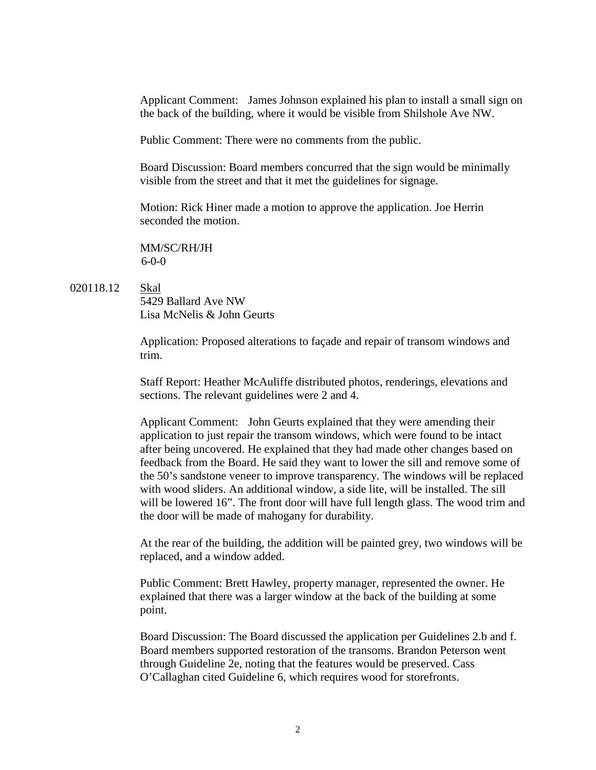Applicant Comment: James Johnson explained his plan to install a small sign on the back of the building, where it would be visible from Shilshole Ave NW.

Public Comment: There were no comments from the public.

Board Discussion: Board members concurred that the sign would be minimally visible from the street and that it met the guidelines for signage.

Motion: Rick Hiner made a motion to approve the application. Joe Herrin seconded the motion.

MM/SC/RH/JH  $6 - 0 - 0$ 

#### 020118.12 Skal

5429 Ballard Ave NW Lisa McNelis & John Geurts

Application: Proposed alterations to façade and repair of transom windows and trim.

Staff Report: Heather McAuliffe distributed photos, renderings, elevations and sections. The relevant guidelines were 2 and 4.

Applicant Comment: John Geurts explained that they were amending their application to just repair the transom windows, which were found to be intact after being uncovered. He explained that they had made other changes based on feedback from the Board. He said they want to lower the sill and remove some of the 50's sandstone veneer to improve transparency. The windows will be replaced with wood sliders. An additional window, a side lite, will be installed. The sill will be lowered 16". The front door will have full length glass. The wood trim and the door will be made of mahogany for durability.

At the rear of the building, the addition will be painted grey, two windows will be replaced, and a window added.

Public Comment: Brett Hawley, property manager, represented the owner. He explained that there was a larger window at the back of the building at some point.

Board Discussion: The Board discussed the application per Guidelines 2.b and f. Board members supported restoration of the transoms. Brandon Peterson went through Guideline 2e, noting that the features would be preserved. Cass O'Callaghan cited Guideline 6, which requires wood for storefronts.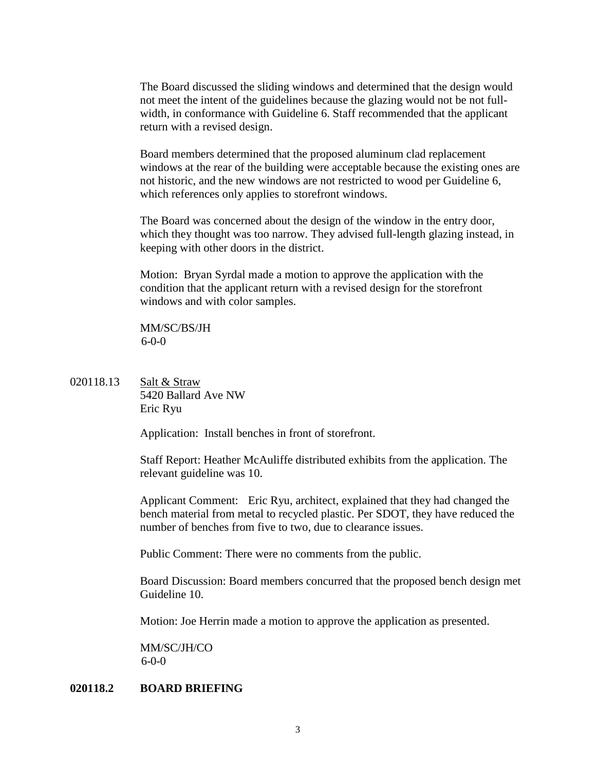The Board discussed the sliding windows and determined that the design would not meet the intent of the guidelines because the glazing would not be not fullwidth, in conformance with Guideline 6. Staff recommended that the applicant return with a revised design.

Board members determined that the proposed aluminum clad replacement windows at the rear of the building were acceptable because the existing ones are not historic, and the new windows are not restricted to wood per Guideline 6, which references only applies to storefront windows.

The Board was concerned about the design of the window in the entry door, which they thought was too narrow. They advised full-length glazing instead, in keeping with other doors in the district.

Motion: Bryan Syrdal made a motion to approve the application with the condition that the applicant return with a revised design for the storefront windows and with color samples.

MM/SC/BS/JH  $6 - 0 - 0$ 

020118.13 Salt & Straw 5420 Ballard Ave NW Eric Ryu

Application: Install benches in front of storefront.

Staff Report: Heather McAuliffe distributed exhibits from the application. The relevant guideline was 10.

Applicant Comment: Eric Ryu, architect, explained that they had changed the bench material from metal to recycled plastic. Per SDOT, they have reduced the number of benches from five to two, due to clearance issues.

Public Comment: There were no comments from the public.

Board Discussion: Board members concurred that the proposed bench design met Guideline 10.

Motion: Joe Herrin made a motion to approve the application as presented.

MM/SC/JH/CO 6-0-0

#### **020118.2 BOARD BRIEFING**